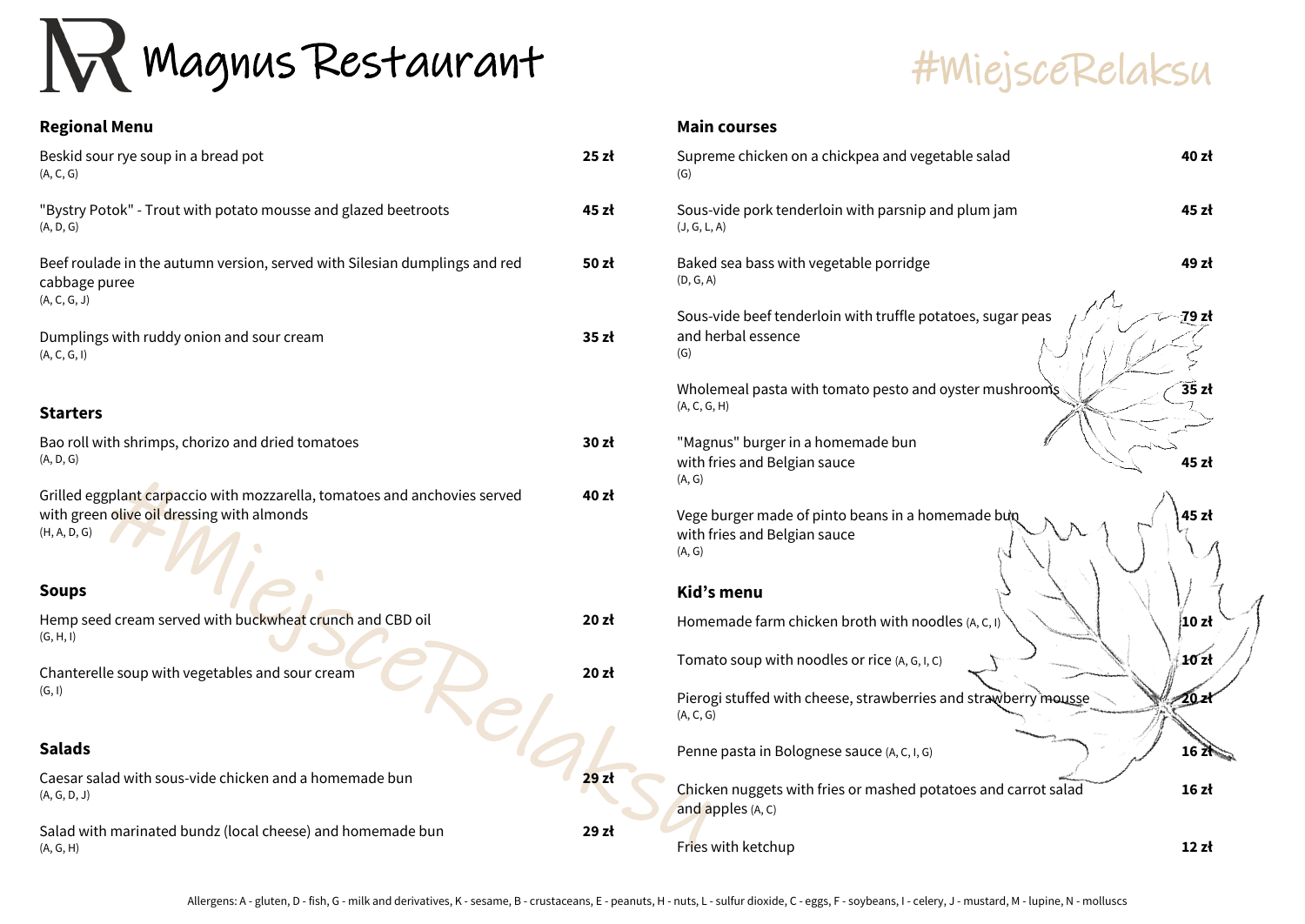# #MiejsceRelaksu

Magnus Restaurant



| <b>Regional Menu</b>                                                                                                                    |       |
|-----------------------------------------------------------------------------------------------------------------------------------------|-------|
| Beskid sour rye soup in a bread pot<br>(A, C, G)                                                                                        | 25z   |
| "Bystry Potok" - Trout with potato mousse and glazed beetroots<br>(A, D, G)                                                             | 45 zł |
| Beef roulade in the autumn version, served with Silesian dumplings and red<br>cabbage puree<br>(A, C, G, J)                             | 50 zł |
| Dumplings with ruddy onion and sour cream<br>(A, C, G, I)                                                                               | 35 zł |
| <b>Starters</b>                                                                                                                         |       |
| Bao roll with shrimps, chorizo and dried tomatoes<br>(A, D, G)                                                                          | 30 zł |
| Grilled eggplant carpaccio with mozzarella, tomatoes and anchovies served<br>with green olive oil dressing with almonds<br>(H, A, D, G) | 40 zł |
| <b>Soups</b>                                                                                                                            |       |
| Hemp seed cream served with buckwheat crunch and CBD oil<br>(G, H, I)                                                                   | 20z   |
| Chanterelle soup with vegetables and sour cream<br>(G, I)                                                                               | 20z   |
| <b>Salads</b>                                                                                                                           |       |
| Caesar salad with sous-vide chicken and a homemade bun<br>(A, G, D, J)                                                                  | 29z   |
| Salad with marinated bundz (local cheese) and homemade bun<br>(A, G, H)                                                                 | 29 zł |

#### **Main courses**

| zł | Supreme chicken on a chickpea and vegetable salad<br>(G)                                    | 40 zł   |
|----|---------------------------------------------------------------------------------------------|---------|
| zł | Sous-vide pork tenderloin with parsnip and plum jam<br>(J, G, L, A)                         | 45 zł   |
| zł | Baked sea bass with vegetable porridge<br>(D, G, A)                                         | 49 zł   |
| zł | Sous-vide beef tenderloin with truffle potatoes, sugar peas<br>and herbal essence<br>(G)    | 79 zł   |
|    | Wholemeal pasta with tomato pesto and oyster mushrooms<br>(A, C, G, H)                      | 35 zł   |
| zł | "Magnus" burger in a homemade bun<br>with fries and Belgian sauce<br>(A, G)                 | 45 zł   |
| zł | Vege burger made of pinto beans in a homemade bun<br>with fries and Belgian sauce<br>(A, G) | 45 zł   |
|    | Kid's menu                                                                                  |         |
| zł | Homemade farm chicken broth with noodles (A, C, I)                                          | 10z     |
| zł | Tomato soup with noodles or rice (A, G, I, C)                                               | 10 zl   |
|    | Pierogi stuffed with cheese, strawberries and strawberry mousse<br>(A, C, G)                | $20$ zł |
|    | Penne pasta in Bolognese sauce (A, C, I, G)                                                 | 16 Z    |
| zł | Chicken nuggets with fries or mashed potatoes and carrot salad<br>and apples (A, C)         | 16z     |
| zł | Fries with ketchup                                                                          | 12z     |